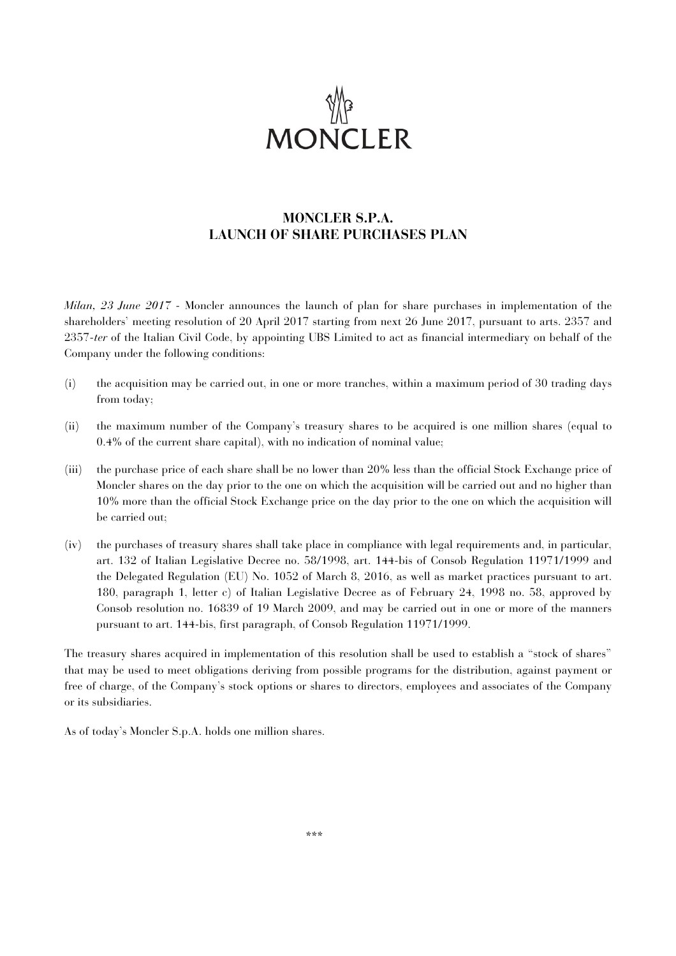

# **MONCLER S.P.A. LAUNCH OF SHARE PURCHASES PLAN**

*Milan, 23 June 2017* - Moncler announces the launch of plan for share purchases in implementation of the shareholders' meeting resolution of 20 April 2017 starting from next 26 June 2017, pursuant to arts. 2357 and 2357-*ter* of the Italian Civil Code, by appointing UBS Limited to act as financial intermediary on behalf of the Company under the following conditions:

- (i) the acquisition may be carried out, in one or more tranches, within a maximum period of 30 trading days from today;
- (ii) the maximum number of the Company's treasury shares to be acquired is one million shares (equal to 0.4% of the current share capital), with no indication of nominal value;
- (iii) the purchase price of each share shall be no lower than 20% less than the official Stock Exchange price of Moncler shares on the day prior to the one on which the acquisition will be carried out and no higher than 10% more than the official Stock Exchange price on the day prior to the one on which the acquisition will be carried out;
- (iv) the purchases of treasury shares shall take place in compliance with legal requirements and, in particular, art. 132 of Italian Legislative Decree no. 58/1998, art. 144-bis of Consob Regulation 11971/1999 and the Delegated Regulation (EU) No. 1052 of March 8, 2016, as well as market practices pursuant to art. 180, paragraph 1, letter c) of Italian Legislative Decree as of February 24, 1998 no. 58, approved by Consob resolution no. 16839 of 19 March 2009, and may be carried out in one or more of the manners pursuant to art. 144-bis, first paragraph, of Consob Regulation 11971/1999.

The treasury shares acquired in implementation of this resolution shall be used to establish a "stock of shares" that may be used to meet obligations deriving from possible programs for the distribution, against payment or free of charge, of the Company's stock options or shares to directors, employees and associates of the Company or its subsidiaries.

As of today's Moncler S.p.A. holds one million shares.